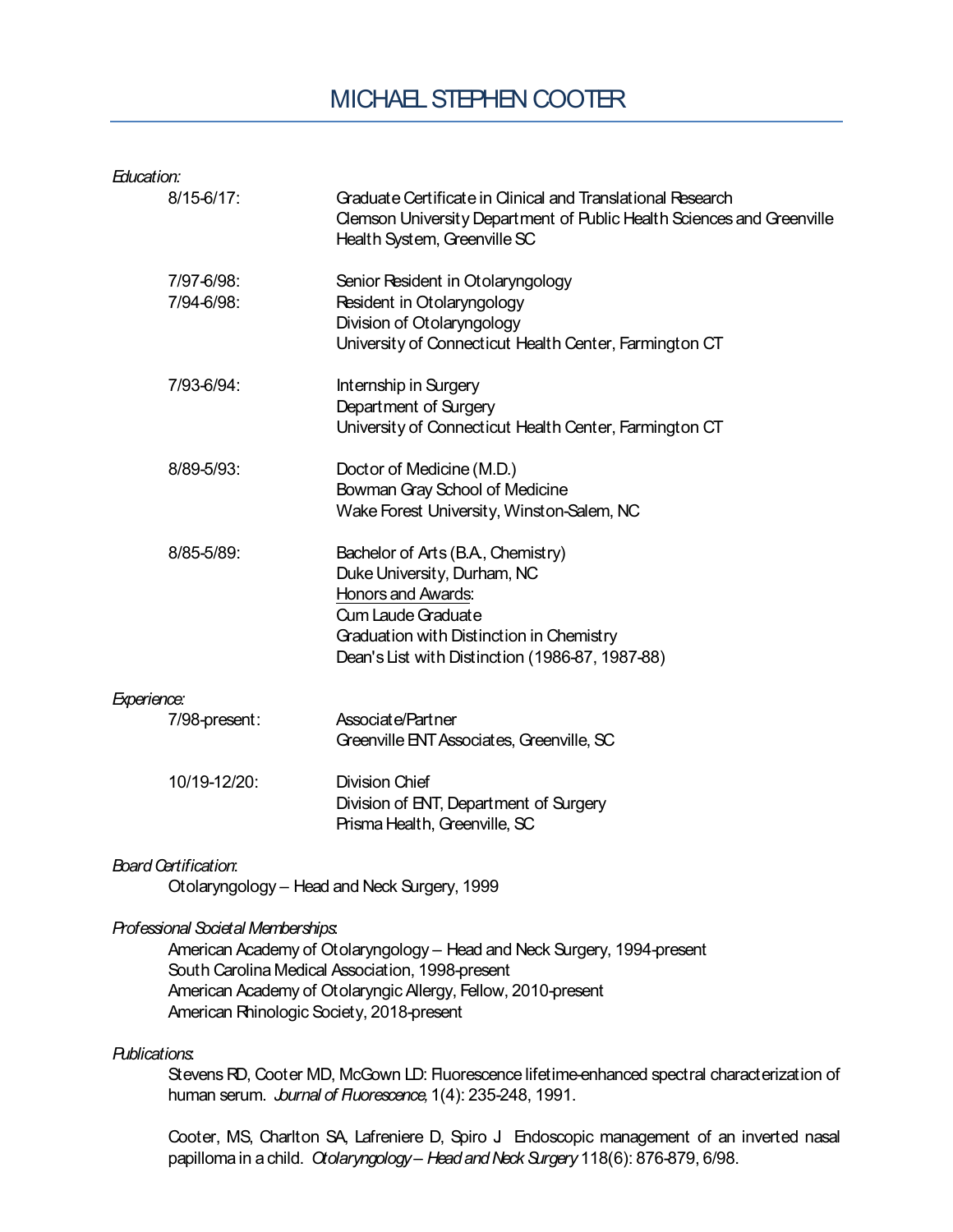## MICHAEL STEPHEN COOTER

| Education:                         |                                                                                                                                                                                                                                            |
|------------------------------------|--------------------------------------------------------------------------------------------------------------------------------------------------------------------------------------------------------------------------------------------|
| $8/15 - 6/17$ :                    | Graduate Certificate in Clinical and Translational Research<br>Clemson University Department of Public Health Sciences and Greenville<br>Health System, Greenville SC                                                                      |
| 7/97-6/98:<br>7/94-6/98:           | Senior Resident in Otolaryngology<br>Resident in Otolaryngology<br>Division of Otolaryngology<br>University of Connecticut Health Center, Farmington CT                                                                                    |
| 7/93-6/94:                         | Internship in Surgery<br>Department of Surgery<br>University of Connecticut Health Center, Farmington CT                                                                                                                                   |
| 8/89-5/93:                         | Doctor of Medicine (M.D.)<br>Bowman Gray School of Medicine<br>Wake Forest University, Winston-Salem, NC                                                                                                                                   |
| 8/85-5/89:                         | Bachelor of Arts (B.A., Chemistry)<br>Duke University, Durham, NC<br><b>Honors and Awards:</b><br>Cum Laude Graduate<br>Graduation with Distinction in Chemistry<br>Dean's List with Distinction (1986-87, 1987-88)                        |
| Experience:                        |                                                                                                                                                                                                                                            |
| 7/98-present:                      | Associate/Partner<br>Greenville ENT Associates, Greenville, SC                                                                                                                                                                             |
| 10/19-12/20:                       | <b>Division Chief</b><br>Division of ENT, Department of Surgery<br>Prisma Health, Greenville, SC                                                                                                                                           |
| Board Certification:               | Otolaryngology - Head and Neck Surgery, 1999                                                                                                                                                                                               |
| Professional Societal Memberships: | American Academy of Otolaryngology - Head and Neck Surgery, 1994-present<br>South Carolina Medical Association, 1998-present<br>American Academy of Otolaryngic Allergy, Fellow, 2010-present<br>American Rhinologic Society, 2018-present |
| <b>Publications.</b>               | Stevens RD, Cooter MD, McGown LD: Fluorescence lifetime-enhanced spectral characterization of<br>human serum. <i>burnal of Ruorescence</i> , 1(4): 235-248, 1991.                                                                          |
|                                    | Cooter, MS, Charlton SA, Lafreniere D, Spiro J Endoscopic management of an inverted nasal<br>papilloma in a child. Otolaryngology - Head and Neck Surgery 118(6): 876-879, 6/98.                                                           |